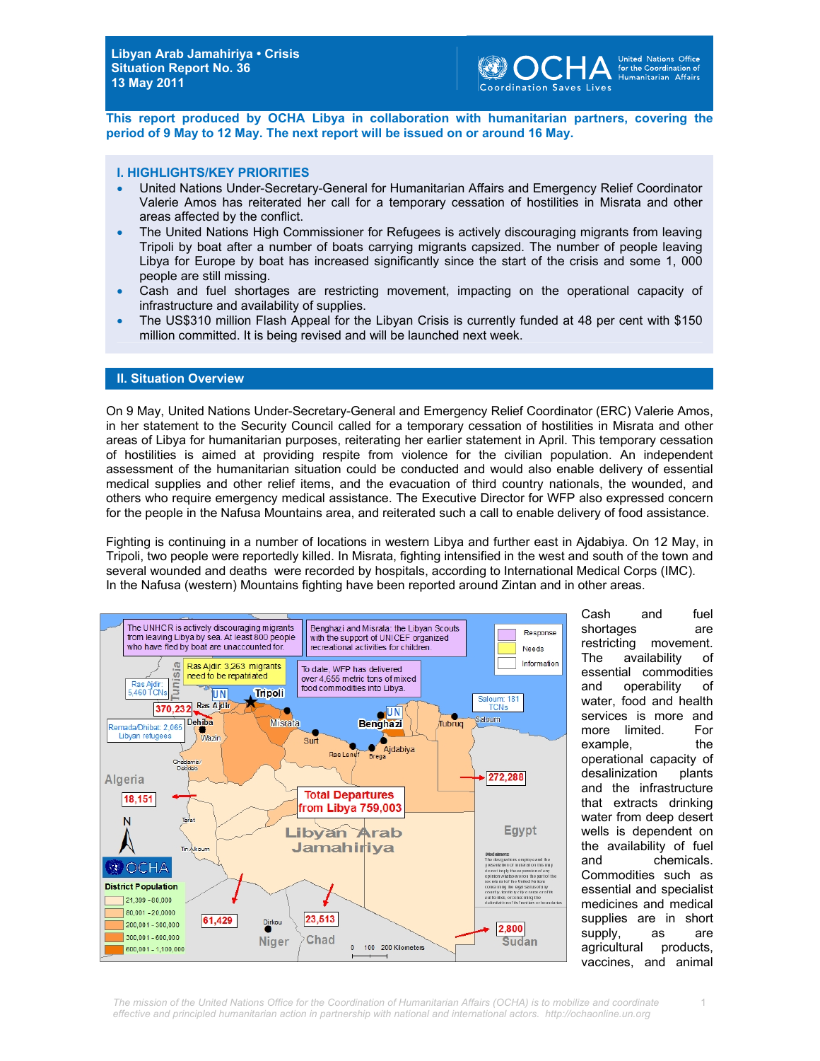

**This report produced by OCHA Libya in collaboration with humanitarian partners, covering the period of 9 May to 12 May. The next report will be issued on or around 16 May.** 

#### **I. HIGHLIGHTS/KEY PRIORITIES**

- United Nations Under-Secretary-General for Humanitarian Affairs and Emergency Relief Coordinator Valerie Amos has reiterated her call for a temporary cessation of hostilities in Misrata and other areas affected by the conflict.
- The United Nations High Commissioner for Refugees is actively discouraging migrants from leaving Tripoli by boat after a number of boats carrying migrants capsized. The number of people leaving Libya for Europe by boat has increased significantly since the start of the crisis and some 1, 000 people are still missing.
- Cash and fuel shortages are restricting movement, impacting on the operational capacity of infrastructure and availability of supplies.
- The US\$310 million Flash Appeal for the Libyan Crisis is currently funded at 48 per cent with \$150 million committed. It is being revised and will be launched next week.

#### **II. Situation Overview**

On 9 May, United Nations Under-Secretary-General and Emergency Relief Coordinator (ERC) Valerie Amos, in her statement to the Security Council called for a temporary cessation of hostilities in Misrata and other areas of Libya for humanitarian purposes, reiterating her earlier statement in April. This temporary cessation of hostilities is aimed at providing respite from violence for the civilian population. An independent assessment of the humanitarian situation could be conducted and would also enable delivery of essential medical supplies and other relief items, and the evacuation of third country nationals, the wounded, and others who require emergency medical assistance. The Executive Director for WFP also expressed concern for the people in the Nafusa Mountains area, and reiterated such a call to enable delivery of food assistance.

Fighting is continuing in a number of locations in western Libya and further east in Ajdabiya. On 12 May, in Tripoli, two people were reportedly killed. In Misrata, fighting intensified in the west and south of the town and several wounded and deaths were recorded by hospitals, according to International Medical Corps (IMC). In the Nafusa (western) Mountains fighting have been reported around Zintan and in other areas.



Cash and fuel shortages are restricting movement. The availability of essential commodities and operability of water, food and health services is more and more limited. For example, the operational capacity of desalinization plants and the infrastructure that extracts drinking water from deep desert wells is dependent on the availability of fuel and chemicals. Commodities such as essential and specialist medicines and medical supplies are in short supply, as are agricultural products, vaccines, and animal

1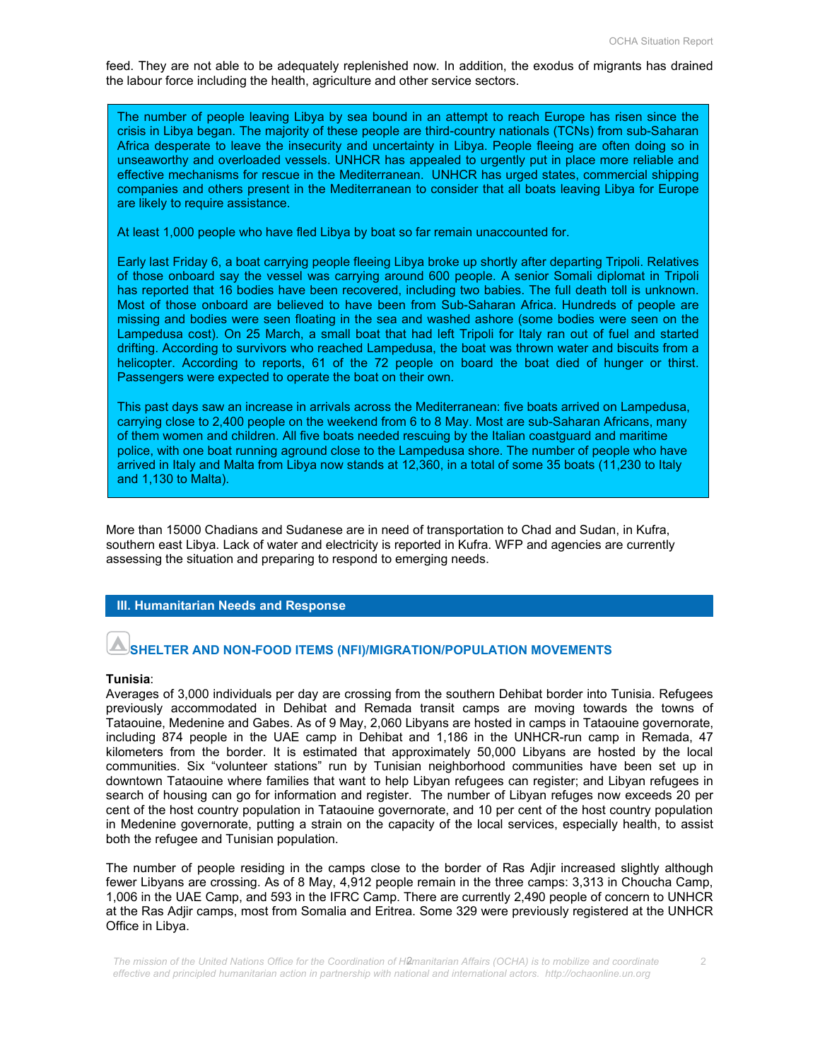feed. They are not able to be adequately replenished now. In addition, the exodus of migrants has drained the labour force including the health, agriculture and other service sectors.

The number of people leaving Libya by sea bound in an attempt to reach Europe has risen since the crisis in Libya began. The majority of these people are third-country nationals (TCNs) from sub-Saharan Africa desperate to leave the insecurity and uncertainty in Libya. People fleeing are often doing so in unseaworthy and overloaded vessels. UNHCR has appealed to urgently put in place more reliable and effective mechanisms for rescue in the Mediterranean. UNHCR has urged states, commercial shipping companies and others present in the Mediterranean to consider that all boats leaving Libya for Europe are likely to require assistance.

At least 1,000 people who have fled Libya by boat so far remain unaccounted for.

Early last Friday 6, a boat carrying people fleeing Libya broke up shortly after departing Tripoli. Relatives of those onboard say the vessel was carrying around 600 people. A senior Somali diplomat in Tripoli has reported that 16 bodies have been recovered, including two babies. The full death toll is unknown. Most of those onboard are believed to have been from Sub-Saharan Africa. Hundreds of people are missing and bodies were seen floating in the sea and washed ashore (some bodies were seen on the Lampedusa cost). On 25 March, a small boat that had left Tripoli for Italy ran out of fuel and started drifting. According to survivors who reached Lampedusa, the boat was thrown water and biscuits from a helicopter. According to reports, 61 of the 72 people on board the boat died of hunger or thirst. Passengers were expected to operate the boat on their own.

This past days saw an increase in arrivals across the Mediterranean: five boats arrived on Lampedusa, carrying close to 2,400 people on the weekend from 6 to 8 May. Most are sub-Saharan Africans, many of them women and children. All five boats needed rescuing by the Italian coastguard and maritime police, with one boat running aground close to the Lampedusa shore. The number of people who have arrived in Italy and Malta from Libya now stands at 12,360, in a total of some 35 boats (11,230 to Italy and 1,130 to Malta).

More than 15000 Chadians and Sudanese are in need of transportation to Chad and Sudan, in Kufra, southern east Libya. Lack of water and electricity is reported in Kufra. WFP and agencies are currently assessing the situation and preparing to respond to emerging needs.

#### **III. Humanitarian Needs and Response**

### **SHELTER AND NON-FOOD ITEMS (NFI)/MIGRATION/POPULATION MOVEMENTS**

#### **Tunisia**:

Averages of 3,000 individuals per day are crossing from the southern Dehibat border into Tunisia. Refugees previously accommodated in Dehibat and Remada transit camps are moving towards the towns of Tataouine, Medenine and Gabes. As of 9 May, 2,060 Libyans are hosted in camps in Tataouine governorate, including 874 people in the UAE camp in Dehibat and 1,186 in the UNHCR-run camp in Remada, 47 kilometers from the border. It is estimated that approximately 50,000 Libyans are hosted by the local communities. Six "volunteer stations" run by Tunisian neighborhood communities have been set up in downtown Tataouine where families that want to help Libyan refugees can register; and Libyan refugees in search of housing can go for information and register. The number of Libyan refuges now exceeds 20 per cent of the host country population in Tataouine governorate, and 10 per cent of the host country population in Medenine governorate, putting a strain on the capacity of the local services, especially health, to assist both the refugee and Tunisian population.

The number of people residing in the camps close to the border of Ras Adjir increased slightly although fewer Libyans are crossing. As of 8 May, 4,912 people remain in the three camps: 3,313 in Choucha Camp, 1,006 in the UAE Camp, and 593 in the IFRC Camp. There are currently 2,490 people of concern to UNHCR at the Ras Adjir camps, most from Somalia and Eritrea. Some 329 were previously registered at the UNHCR Office in Libya.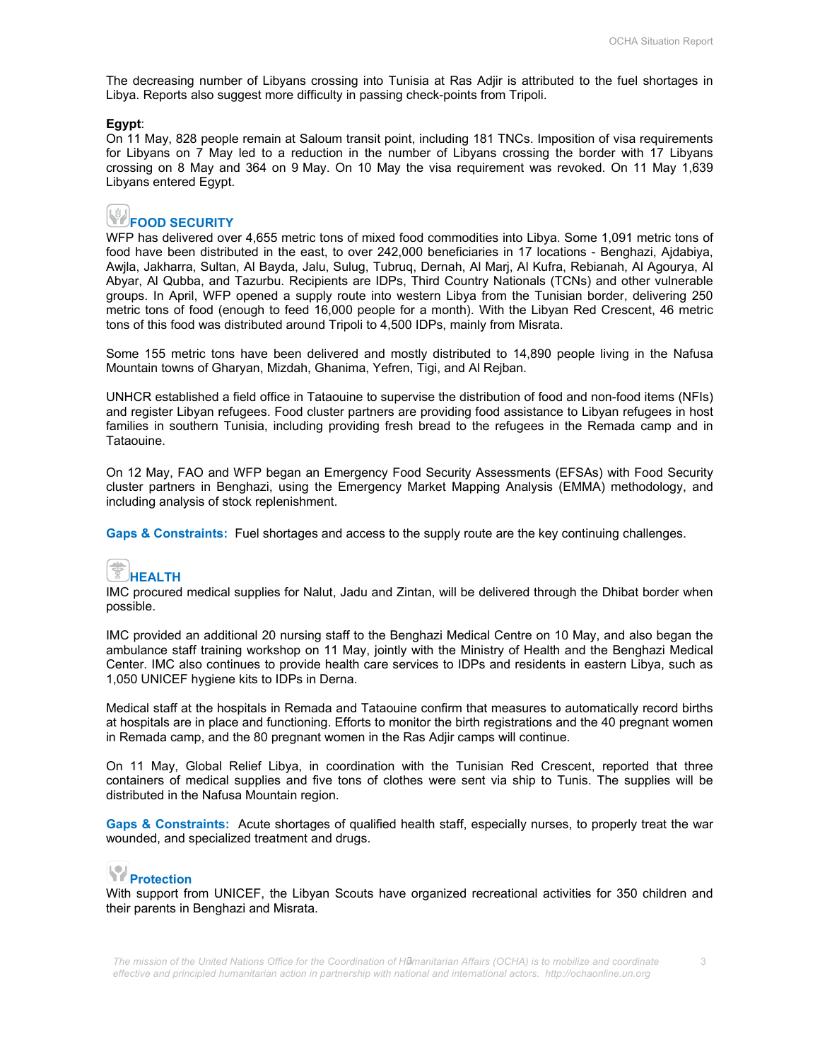The decreasing number of Libyans crossing into Tunisia at Ras Adjir is attributed to the fuel shortages in Libya. Reports also suggest more difficulty in passing check-points from Tripoli.

#### **Egypt**:

On 11 May, 828 people remain at Saloum transit point, including 181 TNCs. Imposition of visa requirements for Libyans on 7 May led to a reduction in the number of Libyans crossing the border with 17 Libyans crossing on 8 May and 364 on 9 May. On 10 May the visa requirement was revoked. On 11 May 1,639 Libyans entered Egypt.

# **FOOD SECURITY**

WFP has delivered over 4,655 metric tons of mixed food commodities into Libya. Some 1,091 metric tons of food have been distributed in the east, to over 242,000 beneficiaries in 17 locations - Benghazi, Ajdabiya, Awjla, Jakharra, Sultan, Al Bayda, Jalu, Sulug, Tubruq, Dernah, Al Marj, Al Kufra, Rebianah, Al Agourya, Al Abyar, Al Qubba, and Tazurbu. Recipients are IDPs, Third Country Nationals (TCNs) and other vulnerable groups. In April, WFP opened a supply route into western Libya from the Tunisian border, delivering 250 metric tons of food (enough to feed 16,000 people for a month). With the Libyan Red Crescent, 46 metric tons of this food was distributed around Tripoli to 4,500 IDPs, mainly from Misrata.

Some 155 metric tons have been delivered and mostly distributed to 14,890 people living in the Nafusa Mountain towns of Gharyan, Mizdah, Ghanima, Yefren, Tigi, and Al Rejban.

UNHCR established a field office in Tataouine to supervise the distribution of food and non-food items (NFIs) and register Libyan refugees. Food cluster partners are providing food assistance to Libyan refugees in host families in southern Tunisia, including providing fresh bread to the refugees in the Remada camp and in Tataouine.

On 12 May, FAO and WFP began an Emergency Food Security Assessments (EFSAs) with Food Security cluster partners in Benghazi, using the Emergency Market Mapping Analysis (EMMA) methodology, and including analysis of stock replenishment.

**Gaps & Constraints:** Fuel shortages and access to the supply route are the key continuing challenges.

# **HEALTH**

IMC procured medical supplies for Nalut, Jadu and Zintan, will be delivered through the Dhibat border when possible.

IMC provided an additional 20 nursing staff to the Benghazi Medical Centre on 10 May, and also began the ambulance staff training workshop on 11 May, jointly with the Ministry of Health and the Benghazi Medical Center. IMC also continues to provide health care services to IDPs and residents in eastern Libya, such as 1,050 UNICEF hygiene kits to IDPs in Derna.

Medical staff at the hospitals in Remada and Tataouine confirm that measures to automatically record births at hospitals are in place and functioning. Efforts to monitor the birth registrations and the 40 pregnant women in Remada camp, and the 80 pregnant women in the Ras Adjir camps will continue.

On 11 May, Global Relief Libya, in coordination with the Tunisian Red Crescent, reported that three containers of medical supplies and five tons of clothes were sent via ship to Tunis. The supplies will be distributed in the Nafusa Mountain region.

**Gaps & Constraints:** Acute shortages of qualified health staff, especially nurses, to properly treat the war wounded, and specialized treatment and drugs.

# **Protection**

With support from UNICEF, the Libyan Scouts have organized recreational activities for 350 children and their parents in Benghazi and Misrata.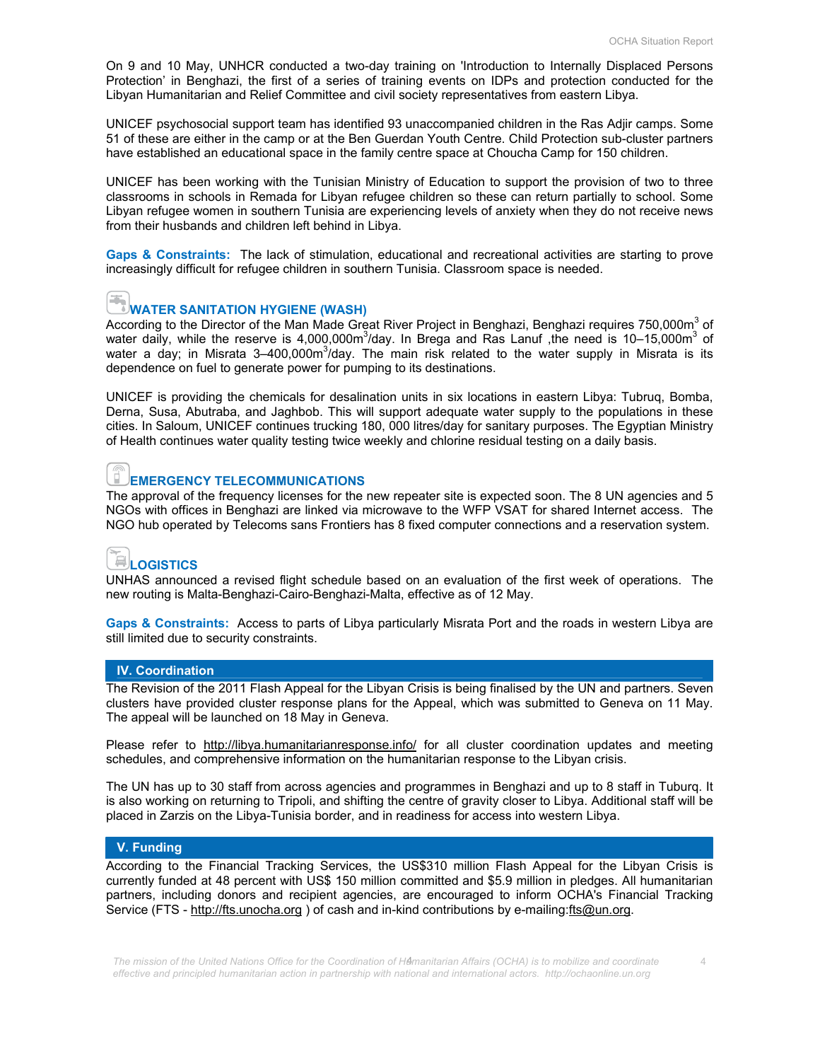On 9 and 10 May, UNHCR conducted a two-day training on 'Introduction to Internally Displaced Persons Protection' in Benghazi, the first of a series of training events on IDPs and protection conducted for the Libyan Humanitarian and Relief Committee and civil society representatives from eastern Libya.

UNICEF psychosocial support team has identified 93 unaccompanied children in the Ras Adjir camps. Some 51 of these are either in the camp or at the Ben Guerdan Youth Centre. Child Protection sub-cluster partners have established an educational space in the family centre space at Choucha Camp for 150 children.

UNICEF has been working with the Tunisian Ministry of Education to support the provision of two to three classrooms in schools in Remada for Libyan refugee children so these can return partially to school. Some Libyan refugee women in southern Tunisia are experiencing levels of anxiety when they do not receive news from their husbands and children left behind in Libya.

**Gaps & Constraints:** The lack of stimulation, educational and recreational activities are starting to prove increasingly difficult for refugee children in southern Tunisia. Classroom space is needed.



#### **WATER SANITATION HYGIENE (WASH)**

According to the Director of the Man Made Great River Project in Benghazi, Benghazi requires 750,000m<sup>3</sup> of water daily, while the reserve is 4,000,000m<sup>3</sup>/day. In Brega and Ras Lanuf ,the need is 10-15,000m<sup>3</sup> of water a day; in Misrata 3–400,000m<sup>3</sup>/day. The main risk related to the water supply in Misrata is its dependence on fuel to generate power for pumping to its destinations.

UNICEF is providing the chemicals for desalination units in six locations in eastern Libya: Tubruq, Bomba, Derna, Susa, Abutraba, and Jaghbob. This will support adequate water supply to the populations in these cities. In Saloum, UNICEF continues trucking 180, 000 litres/day for sanitary purposes. The Egyptian Ministry of Health continues water quality testing twice weekly and chlorine residual testing on a daily basis.

## **EMERGENCY TELECOMMUNICATIONS**

The approval of the frequency licenses for the new repeater site is expected soon. The 8 UN agencies and 5 NGOs with offices in Benghazi are linked via microwave to the WFP VSAT for shared Internet access. The NGO hub operated by Telecoms sans Frontiers has 8 fixed computer connections and a reservation system.

## **LOGISTICS**

UNHAS announced a revised flight schedule based on an evaluation of the first week of operations. The new routing is Malta-Benghazi-Cairo-Benghazi-Malta, effective as of 12 May.

**Gaps & Constraints:** Access to parts of Libya particularly Misrata Port and the roads in western Libya are still limited due to security constraints.

#### **IV. Coordination**

The Revision of the 2011 Flash Appeal for the Libyan Crisis is being finalised by the UN and partners. Seven clusters have provided cluster response plans for the Appeal, which was submitted to Geneva on 11 May. The appeal will be launched on 18 May in Geneva.

Please refer to http://libya.humanitarianresponse.info/ for all cluster coordination updates and meeting schedules, and comprehensive information on the humanitarian response to the Libyan crisis.

The UN has up to 30 staff from across agencies and programmes in Benghazi and up to 8 staff in Tuburq. It is also working on returning to Tripoli, and shifting the centre of gravity closer to Libya. Additional staff will be placed in Zarzis on the Libya-Tunisia border, and in readiness for access into western Libya.

#### **V. Funding**

According to the Financial Tracking Services, the US\$310 million Flash Appeal for the Libyan Crisis is currently funded at 48 percent with US\$ 150 million committed and \$5.9 million in pledges. All humanitarian partners, including donors and recipient agencies, are encouraged to inform OCHA's Financial Tracking Service (FTS - http://fts.unocha.org ) of cash and in-kind contributions by e-mailing:fts@un.org.